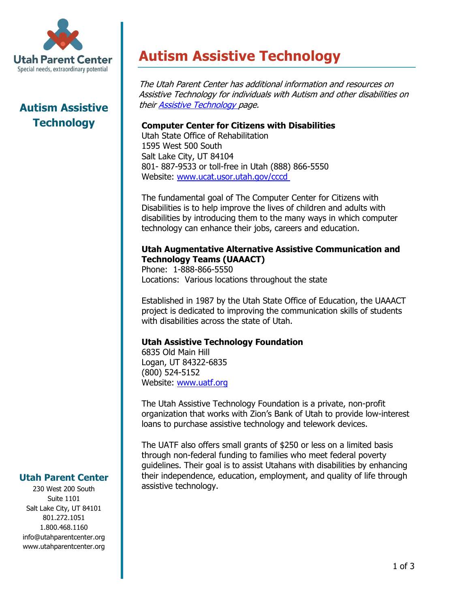

# **Autism Assistive Technology**

**Autism Assistive Technology**

The Utah Parent Center has additional information and resources on Assistive Technology for individuals with Autism and other disabilities on thei[r Assistive Technology p](http://www.utahparentcenter.org/resources/assistive-technology/)age.

#### **Computer Center for Citizens with Disabilities**

Utah State Office of Rehabilitation 1595 West 500 South Salt Lake City, UT 84104 801- 887-9533 or toll-free in Utah (888) 866-5550 Website: [www.ucat.usor.utah.gov/cccd](http://www.ucat.usor.utah.gov/cccd)

The fundamental goal of The Computer Center for Citizens with Disabilities is to help improve the lives of children and adults with disabilities by introducing them to the many ways in which computer technology can enhance their jobs, careers and education.

#### **Utah Augmentative Alternative Assistive Communication and Technology Teams (UAAACT)**

Phone: 1-888-866-5550 Locations: Various locations throughout the state

Established in 1987 by the Utah State Office of Education, the UAAACT project is dedicated to improving the communication skills of students with disabilities across the state of Utah.

## **Utah Assistive Technology Foundation**

6835 Old Main Hill Logan, UT 84322-6835 (800) 524-5152 Website: [www.uatf.org](http://www.uatf.org/)

The Utah Assistive Technology Foundation is a private, non-profit organization that works with Zion's Bank of Utah to provide low-interest loans to purchase assistive technology and telework devices.

The UATF also offers small grants of \$250 or less on a limited basis through non-federal funding to families who meet federal poverty guidelines. Their goal is to assist Utahans with disabilities by enhancing their independence, education, employment, and quality of life through assistive technology.

## **Utah Parent Center**

230 West 200 South Suite 1101 Salt Lake City, UT 84101 801.272.1051 1.800.468.1160 info@utahparentcenter.org www.utahparentcenter.org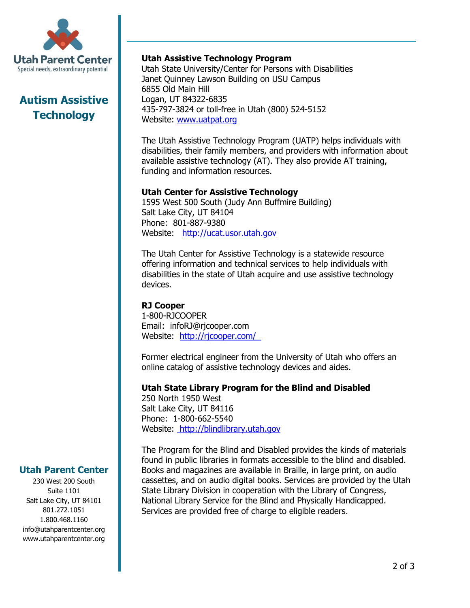

## **Autism Assistive Technology**

## **Utah Assistive Technology Program**

Utah State University/Center for Persons with Disabilities Janet Quinney Lawson Building on USU Campus 6855 Old Main Hill Logan, UT 84322-6835 435-797-3824 or toll-free in Utah (800) 524-5152 Website: [www.uatpat.org](http://www.uatpat.org/)

The Utah Assistive Technology Program (UATP) helps individuals with disabilities, their family members, and providers with information about available assistive technology (AT). They also provide AT training, funding and information resources.

## **Utah Center for Assistive Technology**

1595 West 500 South (Judy Ann Buffmire Building) Salt Lake City, UT 84104 Phone: 801-887-9380 Website: [http://ucat.usor.utah.gov](http://ucat.usor.utah.gov/)

The Utah Center for Assistive Technology is a statewide resource offering information and technical services to help individuals with disabilities in the state of Utah acquire and use assistive technology devices.

#### **RJ Cooper**

1-800-RJCOOPER Email: infoRJ@rjcooper.com Website: <http://rjcooper.com/>

Former electrical engineer from the University of Utah who offers an online catalog of assistive technology devices and aides.

## **Utah State Library Program for the Blind and Disabled**

250 North 1950 West Salt Lake City, UT 84116 Phone: 1-800-662-5540 Website: [http://blindlibrary.utah.gov](http://blindlibrary.utah.gov/)

The Program for the Blind and Disabled provides the kinds of materials found in public libraries in formats accessible to the blind and disabled. Books and magazines are available in Braille, in large print, on audio cassettes, and on audio digital books. Services are provided by the Utah State Library Division in cooperation with the Library of Congress, National Library Service for the Blind and Physically Handicapped. Services are provided free of charge to eligible readers.

#### **Utah Parent Center**

230 West 200 South Suite 1101 Salt Lake City, UT 84101 801.272.1051 1.800.468.1160 info@utahparentcenter.org www.utahparentcenter.org